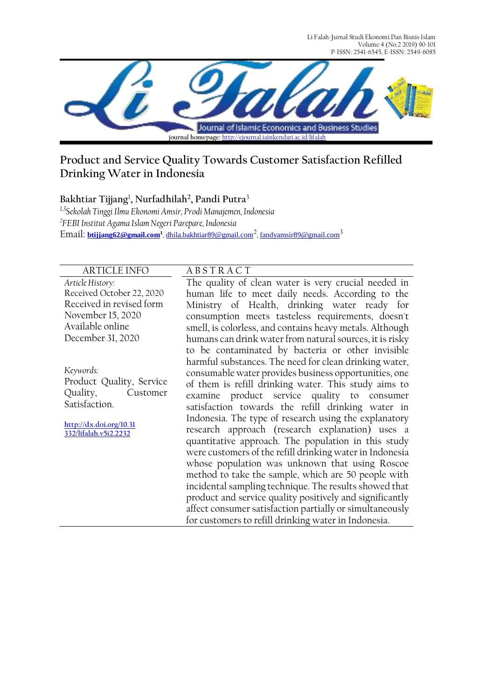Li Falah-Jurnal Studi Ekonomi Dan Bisnis Islam Volume 4 (No.2 2019) 90-101 P-ISSN: 2541-6545, E-ISSN: 2549-6085



# **Product and Service Quality Towards Customer Satisfaction Refilled Drinking Water in Indonesia**

**Bakhtiar Tijjang**<sup>1</sup> **, Nurfadhilah<sup>2</sup> , Pandi Putra**<sup>3</sup>

*1,3Sekolah Tinggi Ilmu Ekonomi Amsir, Prodi Manajemen, Indonesia 2 FEBI Institut Agama Islam Negeri Parepare, Indonesia* Email: **[btijjang62@gmail.com](mailto:btijjang62@gmail.com)<sup>1</sup>** , [dhila.bakhtiar89@gmail.com](mailto:dhila.bakhtiar89@gmail.com)<sup>2</sup> , [fandyamsir89@gmail.com](mailto:fandyamsir89@gmail.com)<sup>3</sup>

## ARTICLE INFO A B S T R A C T

*Article History:* Received October 22, 2020 Received in revised form November 15, 2020 Available online December 31, 2020

*Keywords:*  Product Quality, Service Quality, Customer Satisfaction.

**[http://dx.doi.org/10.31](http://dx.doi.org/10.31332/lifalah.v5i2.2232) [332/lifalah.v5i2.2232](http://dx.doi.org/10.31332/lifalah.v5i2.2232)**

The quality of clean water is very crucial needed in human life to meet daily needs. According to the Ministry of Health, drinking water ready for consumption meets tasteless requirements, doesn't smell, is colorless, and contains heavy metals. Although humans can drink water from natural sources, it is risky to be contaminated by bacteria or other invisible harmful substances. The need for clean drinking water, consumable water provides business opportunities, one of them is refill drinking water. This study aims to examine product service quality to consumer satisfaction towards the refill drinking water in Indonesia. The type of research using the explanatory research approach (research explanation) uses a quantitative approach. The population in this study were customers of the refill drinking water in Indonesia whose population was unknown that using Roscoe method to take the sample, which are 50 people with incidental sampling technique. The results showed that product and service quality positively and significantly affect consumer satisfaction partially or simultaneously for customers to refill drinking water in Indonesia.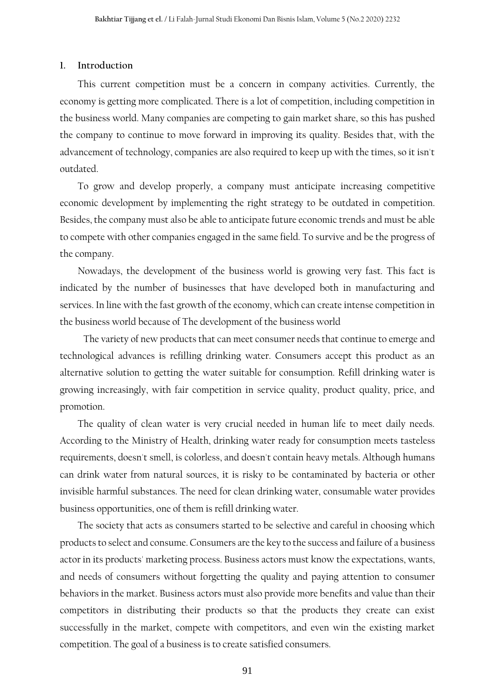#### **1. Introduction**

This current competition must be a concern in company activities. Currently, the economy is getting more complicated. There is a lot of competition, including competition in the business world. Many companies are competing to gain market share, so this has pushed the company to continue to move forward in improving its quality. Besides that, with the advancement of technology, companies are also required to keep up with the times, so it isn't outdated.

To grow and develop properly, a company must anticipate increasing competitive economic development by implementing the right strategy to be outdated in competition. Besides, the company must also be able to anticipate future economic trends and must be able to compete with other companies engaged in the same field. To survive and be the progress of the company.

Nowadays, the development of the business world is growing very fast. This fact is indicated by the number of businesses that have developed both in manufacturing and services. In line with the fast growth of the economy, which can create intense competition in the business world because of The development of the business world

The variety of new products that can meet consumer needs that continue to emerge and technological advances is refilling drinking water. Consumers accept this product as an alternative solution to getting the water suitable for consumption. Refill drinking water is growing increasingly, with fair competition in service quality, product quality, price, and promotion.

The quality of clean water is very crucial needed in human life to meet daily needs. According to the Ministry of Health, drinking water ready for consumption meets tasteless requirements, doesn't smell, is colorless, and doesn't contain heavy metals. Although humans can drink water from natural sources, it is risky to be contaminated by bacteria or other invisible harmful substances. The need for clean drinking water, consumable water provides business opportunities, one of them is refill drinking water.

The society that acts as consumers started to be selective and careful in choosing which products to select and consume. Consumers are the key to the success and failure of a business actor in its products' marketing process. Business actors must know the expectations, wants, and needs of consumers without forgetting the quality and paying attention to consumer behaviors in the market. Business actors must also provide more benefits and value than their competitors in distributing their products so that the products they create can exist successfully in the market, compete with competitors, and even win the existing market competition. The goal of a business is to create satisfied consumers.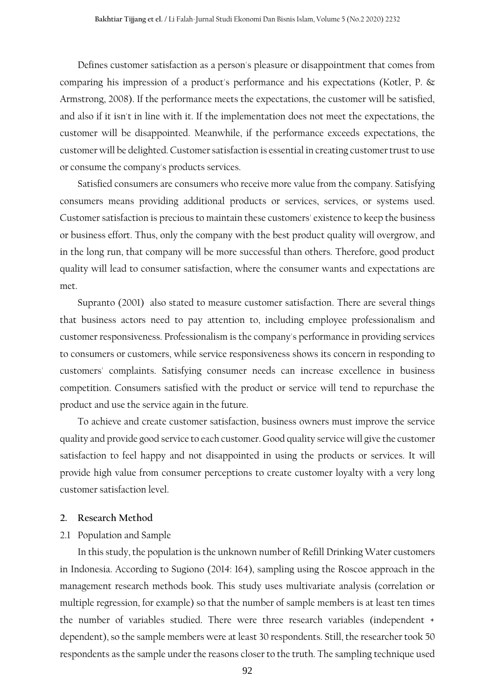Defines customer satisfaction as a person's pleasure or disappointment that comes from comparing his impression of a product's performance and his expectations (Kotler, P. & Armstrong, 2008). If the performance meets the expectations, the customer will be satisfied, and also if it isn't in line with it. If the implementation does not meet the expectations, the customer will be disappointed. Meanwhile, if the performance exceeds expectations, the customer will be delighted. Customer satisfaction is essential in creating customer trust to use or consume the company's products services.

Satisfied consumers are consumers who receive more value from the company. Satisfying consumers means providing additional products or services, services, or systems used. Customer satisfaction is precious to maintain these customers' existence to keep the business or business effort. Thus, only the company with the best product quality will overgrow, and in the long run, that company will be more successful than others. Therefore, good product quality will lead to consumer satisfaction, where the consumer wants and expectations are met.

Supranto (2001) also stated to measure customer satisfaction. There are several things that business actors need to pay attention to, including employee professionalism and customer responsiveness. Professionalism is the company's performance in providing services to consumers or customers, while service responsiveness shows its concern in responding to customers' complaints. Satisfying consumer needs can increase excellence in business competition. Consumers satisfied with the product or service will tend to repurchase the product and use the service again in the future.

To achieve and create customer satisfaction, business owners must improve the service quality and provide good service to each customer. Good quality service will give the customer satisfaction to feel happy and not disappointed in using the products or services. It will provide high value from consumer perceptions to create customer loyalty with a very long customer satisfaction level.

#### **2. Research Method**

### 2.1 Population and Sample

In this study, the population is the unknown number of Refill Drinking Water customers in Indonesia. According to Sugiono (2014: 164), sampling using the Roscoe approach in the management research methods book. This study uses multivariate analysis (correlation or multiple regression, for example) so that the number of sample members is at least ten times the number of variables studied. There were three research variables (independent + dependent), so the sample members were at least 30 respondents. Still, the researcher took 50 respondents as the sample under the reasons closer to the truth. The sampling technique used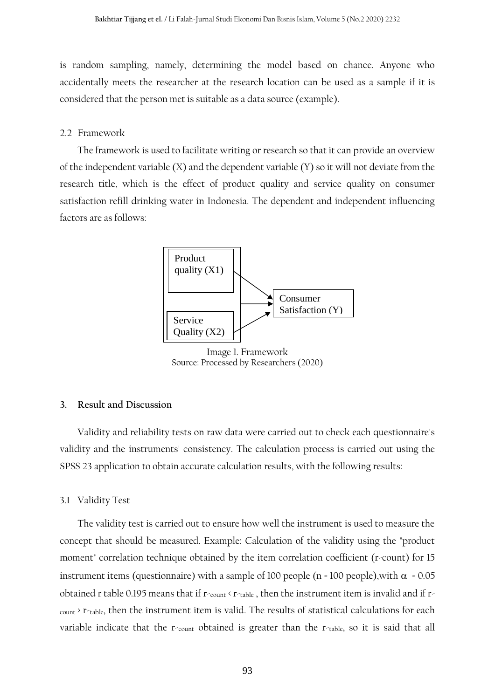is random sampling, namely, determining the model based on chance. Anyone who accidentally meets the researcher at the research location can be used as a sample if it is considered that the person met is suitable as a data source (example).

## 2.2 Framework

The framework is used to facilitate writing or research so that it can provide an overview of the independent variable (X) and the dependent variable (Y) so it will not deviate from the research title, which is the effect of product quality and service quality on consumer satisfaction refill drinking water in Indonesia. The dependent and independent influencing factors are as follows:



Image 1. Framework Source: Processed by Researchers (2020)

## **3. Result and Discussion**

Validity and reliability tests on raw data were carried out to check each questionnaire's validity and the instruments' consistency. The calculation process is carried out using the SPSS 23 application to obtain accurate calculation results, with the following results:

#### 3.1 Validity Test

The validity test is carried out to ensure how well the instrument is used to measure the concept that should be measured. Example: Calculation of the validity using the "product moment" correlation technique obtained by the item correlation coefficient (r-count) for 15 instrument items (questionnaire) with a sample of 100 people (n = 100 people), with  $\alpha$  = 0.05 obtained r table 0.195 means that if r-count < r-table, then the instrument item is invalid and if rcount > r-table, then the instrument item is valid. The results of statistical calculations for each variable indicate that the  $r_{\text{count}}$  obtained is greater than the  $r_{\text{table}}$ , so it is said that all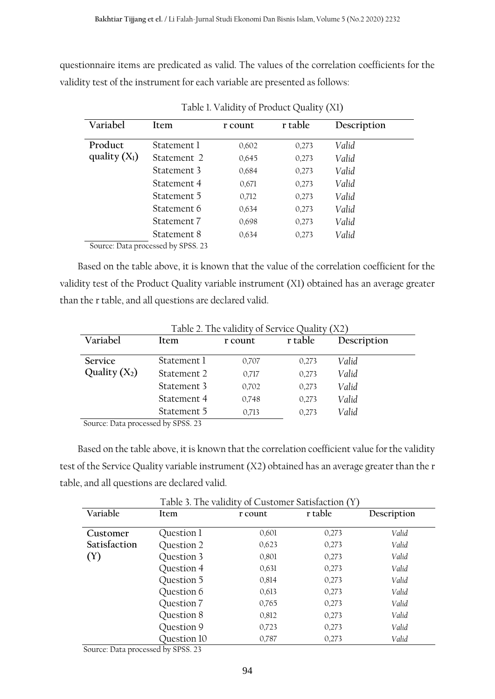questionnaire items are predicated as valid. The values of the correlation coefficients for the validity test of the instrument for each variable are presented as follows:

| Variabel                   | Item                               | r count | r table | Description |
|----------------------------|------------------------------------|---------|---------|-------------|
| Product<br>quality $(X_1)$ | Statement 1                        | 0,602   | 0,273   | Valid       |
|                            | Statement 2                        | 0,645   | 0,273   | Valid       |
|                            | Statement 3                        | 0.684   | 0,273   | Valid       |
|                            | Statement 4                        | 0,671   | 0,273   | Valid       |
|                            | Statement 5                        | 0,712   | 0,273   | Valid       |
|                            | Statement 6                        | 0.634   | 0,273   | Valid       |
|                            | Statement 7                        | 0.698   | 0,273   | Valid       |
|                            | Statement 8                        | 0.634   | 0,273   | Valid       |
|                            | Source: Data processed by SPSS. 23 |         |         |             |

Table 1. Validity of Product Quality (X1)

Based on the table above, it is known that the value of the correlation coefficient for the validity test of the Product Quality variable instrument (X1) obtained has an average greater than the r table, and all questions are declared valid.

| Table 2. The validity of Service Quality (X2) |               |         |         |             |  |  |  |  |
|-----------------------------------------------|---------------|---------|---------|-------------|--|--|--|--|
| Variabel                                      | Item          | r count | r table | Description |  |  |  |  |
| Service                                       | Statement 1   | 0,707   | 0,273   | Valid       |  |  |  |  |
| Quality $(X_2)$                               | Statement 2   | 0,717   | 0,273   | Valid       |  |  |  |  |
|                                               | Statement 3   | 0,702   | 0,273   | Valid       |  |  |  |  |
|                                               | Statement 4   | 0,748   | 0,273   | Valid       |  |  |  |  |
|                                               | Statement 5   | 0,713   | 0,273   | Valid       |  |  |  |  |
|                                               | $11$ cores as |         |         |             |  |  |  |  |

Source: Data processed by SPSS. 23

Based on the table above, it is known that the correlation coefficient value for the validity test of the Service Quality variable instrument (X2) obtained has an average greater than the r table, and all questions are declared valid.

|                                                                                            | Table 3. The validity of Customer Satisfaction (Y) |         |         |             |  |  |  |  |
|--------------------------------------------------------------------------------------------|----------------------------------------------------|---------|---------|-------------|--|--|--|--|
| Variable                                                                                   | Item                                               | r count | r table | Description |  |  |  |  |
|                                                                                            |                                                    |         |         |             |  |  |  |  |
| Customer                                                                                   | Question 1                                         | 0,601   | 0,273   | Valid       |  |  |  |  |
| Satisfaction                                                                               | Question 2                                         | 0,623   | 0,273   | Valid       |  |  |  |  |
| (Y)                                                                                        | Question 3                                         | 0,801   | 0,273   | Valid       |  |  |  |  |
|                                                                                            | Question 4                                         | 0,631   | 0,273   | Valid       |  |  |  |  |
|                                                                                            | Question 5                                         | 0,814   | 0,273   | Valid       |  |  |  |  |
|                                                                                            | Question 6                                         | 0,613   | 0,273   | Valid       |  |  |  |  |
|                                                                                            | Question 7                                         | 0,765   | 0,273   | Valid       |  |  |  |  |
|                                                                                            | Question 8                                         | 0,812   | 0,273   | Valid       |  |  |  |  |
|                                                                                            | Question 9                                         | 0,723   | 0,273   | Valid       |  |  |  |  |
|                                                                                            | Question 10                                        | 0,787   | 0,273   | Valid       |  |  |  |  |
| $C_{211}$ $D_{11}$ $D_{21}$ $D_{21}$ $D_{21}$ $D_{21}$ $D_{21}$ $D_{21}$ $D_{21}$ $D_{21}$ |                                                    |         |         |             |  |  |  |  |

Source: Data processed by SPSS. 23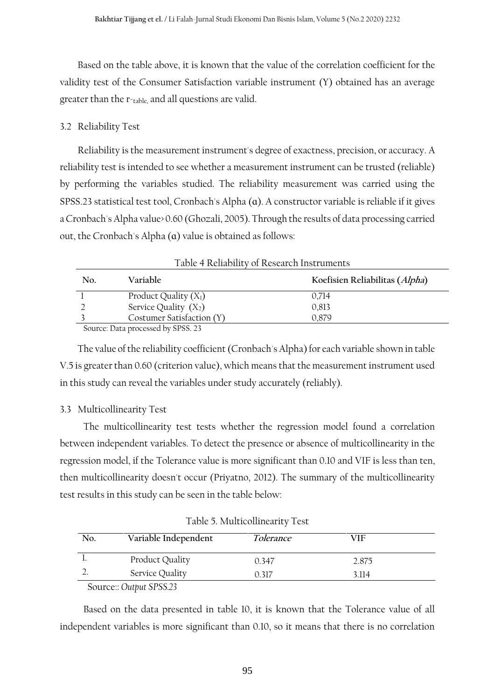Based on the table above, it is known that the value of the correlation coefficient for the validity test of the Consumer Satisfaction variable instrument (Y) obtained has an average greater than the r-table, and all questions are valid.

## 3.2 Reliability Test

Reliability is the measurement instrument's degree of exactness, precision, or accuracy. A reliability test is intended to see whether a measurement instrument can be trusted (reliable) by performing the variables studied. The reliability measurement was carried using the SPSS.23 statistical test tool, Cronbach's Alpha (a). A constructor variable is reliable if it gives a Cronbach's Alpha value> 0.60 (Ghozali, 2005). Through the results of data processing carried out, the Cronbach's Alpha (ɑ) value is obtained as follows:

| Table 4 Reliability of Research Instruments |                                   |                                |  |  |  |  |
|---------------------------------------------|-----------------------------------|--------------------------------|--|--|--|--|
| No.                                         | Variable                          | Koefisien Reliabilitas (Alpha) |  |  |  |  |
|                                             | Product Quality $(X_1)$           | 0.714                          |  |  |  |  |
|                                             | Service Quality $(X_2)$           | 0,813                          |  |  |  |  |
|                                             | Costumer Satisfaction (Y)         | 0.879                          |  |  |  |  |
|                                             | Source: Data processed by SPSS 23 |                                |  |  |  |  |

Source: Data processed by SPSS. 23

The value of the reliability coefficient (Cronbach's Alpha) for each variable shown in table V.5 is greater than 0.60 (criterion value), which means that the measurement instrument used in this study can reveal the variables under study accurately (reliably).

# 3.3 Multicollinearity Test

The multicollinearity test tests whether the regression model found a correlation between independent variables. To detect the presence or absence of multicollinearity in the regression model, if the Tolerance value is more significant than 0.10 and VIF is less than ten, then multicollinearity doesn't occur (Priyatno, 2012). The summary of the multicollinearity test results in this study can be seen in the table below:

| No. | Variable Independent    | <i>Tolerance</i> | VIF   |  |
|-----|-------------------------|------------------|-------|--|
|     | Product Quality         | 0.347            | 2.875 |  |
|     | Service Quality         | 0.317            | 3.114 |  |
|     | Source:: Output SPSS.23 |                  |       |  |

Table 5. Multicollinearity Test

Based on the data presented in table 10, it is known that the Tolerance value of all independent variables is more significant than 0.10, so it means that there is no correlation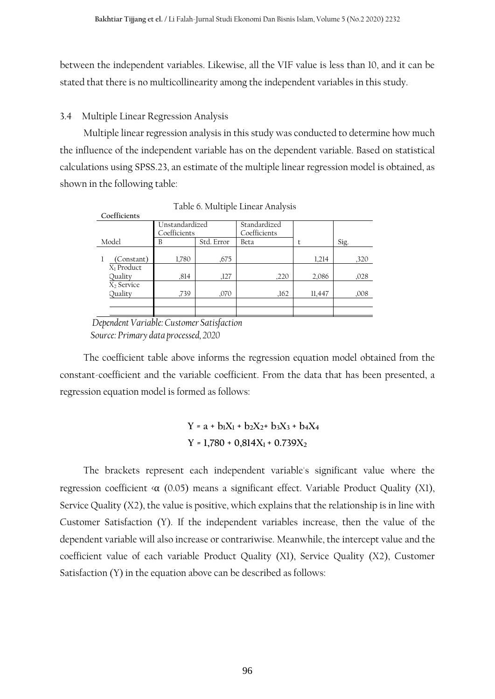between the independent variables. Likewise, all the VIF value is less than 10, and it can be stated that there is no multicollinearity among the independent variables in this study.

## 3.4 Multiple Linear Regression Analysis

Multiple linear regression analysis in this study was conducted to determine how much the influence of the independent variable has on the dependent variable. Based on statistical calculations using SPSS.23, an estimate of the multiple linear regression model is obtained, as shown in the following table:

| Coefficients |            |                                |        |      |  |  |  |
|--------------|------------|--------------------------------|--------|------|--|--|--|
|              |            | Standardized                   |        |      |  |  |  |
|              |            | Coefficients                   |        |      |  |  |  |
| B            | Std. Error | Beta                           |        | Sig. |  |  |  |
|              |            |                                |        |      |  |  |  |
| 1,780        | ,675       |                                | 1,214  | ,320 |  |  |  |
|              |            |                                |        |      |  |  |  |
| ,814         | ,127       | ,220                           | 2,086  | ,028 |  |  |  |
|              |            |                                |        |      |  |  |  |
| .739         | ,070       | ,162                           | 11,447 | ,008 |  |  |  |
|              |            |                                |        |      |  |  |  |
|              |            |                                |        |      |  |  |  |
|              |            | Unstandardized<br>Coefficients |        |      |  |  |  |

Table 6. Multiple Linear Analysis

 *Dependent Variable: Customer Satisfaction Source: Primary data processed, 2020*

The coefficient table above informs the regression equation model obtained from the constant-coefficient and the variable coefficient. From the data that has been presented, a regression equation model is formed as follows:

> $Y = a + b_1X_1 + b_2X_2 + b_3X_3 + b_4X_4$  $Y = 1,780 + 0,814X_1 + 0.739X_2$

The brackets represent each independent variable's significant value where the regression coefficient  $\langle \alpha \rangle$  (0.05) means a significant effect. Variable Product Quality (X1), Service Quality (X2), the value is positive, which explains that the relationship is in line with Customer Satisfaction (Y). If the independent variables increase, then the value of the dependent variable will also increase or contrariwise. Meanwhile, the intercept value and the coefficient value of each variable Product Quality (X1), Service Quality (X2), Customer Satisfaction (Y) in the equation above can be described as follows: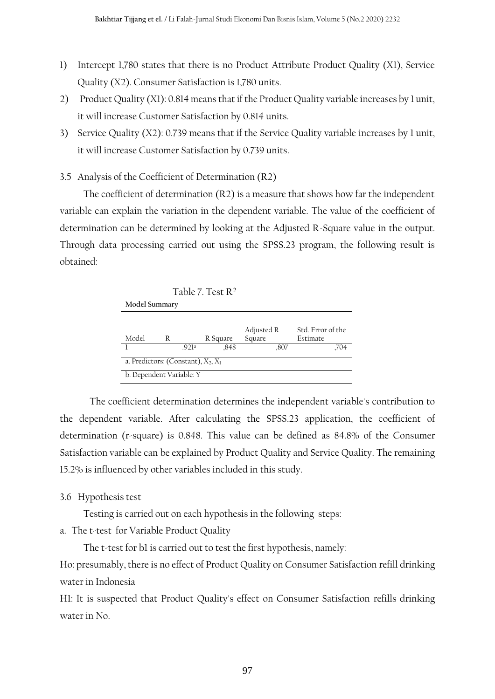- 1) Intercept 1,780 states that there is no Product Attribute Product Quality (X1), Service Quality (X2). Consumer Satisfaction is 1,780 units.
- 2) Product Quality (X1): 0.814 means that if the Product Quality variable increases by 1 unit, it will increase Customer Satisfaction by 0.814 units.
- 3) Service Quality (X2): 0.739 means that if the Service Quality variable increases by 1 unit, it will increase Customer Satisfaction by 0.739 units.

## 3.5 Analysis of the Coefficient of Determination (R2)

The coefficient of determination (R2) is a measure that shows how far the independent variable can explain the variation in the dependent variable. The value of the coefficient of determination can be determined by looking at the Adjusted R-Square value in the output. Through data processing carried out using the SPSS.23 program, the following result is obtained:



The coefficient determination determines the independent variable's contribution to the dependent variable. After calculating the SPSS.23 application, the coefficient of determination (r-square) is 0.848. This value can be defined as 84.8% of the Consumer Satisfaction variable can be explained by Product Quality and Service Quality. The remaining 15.2% is influenced by other variables included in this study.

## 3.6 Hypothesis test

Testing is carried out on each hypothesis in the following steps:

a. The t-test for Variable Product Quality

The t-test for b1 is carried out to test the first hypothesis, namely:

Ho: presumably, there is no effect of Product Quality on Consumer Satisfaction refill drinking water in Indonesia

H1: It is suspected that Product Quality's effect on Consumer Satisfaction refills drinking water in No.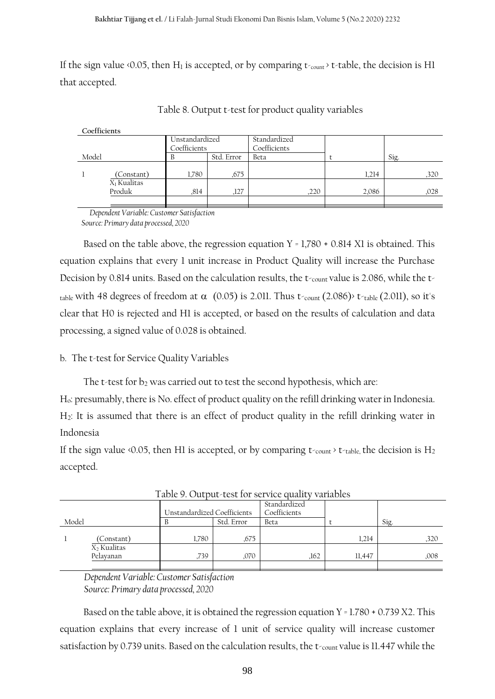If the sign value  $\triangle 0.05$ , then H<sub>1</sub> is accepted, or by comparing t<sub>-count</sub>  $\angle t$ -table, the decision is H1 that accepted.

| Coefficients            |            |              |            |      |      |       |      |
|-------------------------|------------|--------------|------------|------|------|-------|------|
| Unstandardized          |            | Standardized |            |      |      |       |      |
| Coefficients            |            | Coefficients |            |      |      |       |      |
| Model                   |            | В            | Std. Error | Beta |      |       | Sig. |
|                         |            |              |            |      |      |       |      |
|                         | (Constant) | 1,780        | ,675       |      |      | 1.214 | ,320 |
| X <sub>1</sub> Kualitas |            |              |            |      |      |       |      |
| Produk                  |            | ,814         | ,127       |      | ,220 | 2,086 | ,028 |
|                         |            |              |            |      |      |       |      |

Table 8. Output t-test for product quality variables

*Dependent Variable: Customer Satisfaction Source: Primary data processed, 2020*

Based on the table above, the regression equation  $Y = 1,780 + 0.814$  X1 is obtained. This equation explains that every 1 unit increase in Product Quality will increase the Purchase Decision by 0.814 units. Based on the calculation results, the t-count value is 2.086, while the ttable with 48 degrees of freedom at  $\alpha$  (0.05) is 2.011. Thus t<sub>count</sub> (2.086) t<sub>-table</sub> (2.011), so it's clear that H0 is rejected and H1 is accepted, or based on the results of calculation and data processing, a signed value of 0.028 is obtained.

# b. The t-test for Service Quality Variables

The t-test for  $b_2$  was carried out to test the second hypothesis, which are:

Ho: presumably, there is No. effect of product quality on the refill drinking water in Indonesia. H2: It is assumed that there is an effect of product quality in the refill drinking water in Indonesia

If the sign value <0.05, then H1 is accepted, or by comparing  $t_{\text{count}}$  t<sub>able</sub>, the decision is H<sub>2</sub> accepted.

|       | .                       |       |                                             |              |        |      |  |  |  |
|-------|-------------------------|-------|---------------------------------------------|--------------|--------|------|--|--|--|
|       |                         |       |                                             | Standardized |        |      |  |  |  |
|       |                         |       | Coefficients<br>Unstandardized Coefficients |              |        |      |  |  |  |
| Model |                         |       | Std. Error                                  | Beta         |        | Sig. |  |  |  |
|       |                         |       |                                             |              |        |      |  |  |  |
|       | (Constant)              | 1,780 | .675                                        |              | 1,214  | .320 |  |  |  |
|       | X <sub>2</sub> Kualitas |       |                                             |              |        |      |  |  |  |
|       | Pelayanan               | 739   | ,070                                        | .162         | 11,447 | ,008 |  |  |  |
|       |                         |       |                                             |              |        |      |  |  |  |

Table 9. Output-test for service quality variables

 *Dependent Variable: Customer Satisfaction Source: Primary data processed, 2020*

Based on the table above, it is obtained the regression equation  $Y = 1.780 + 0.739 X2$ . This equation explains that every increase of 1 unit of service quality will increase customer satisfaction by 0.739 units. Based on the calculation results, the t-count value is 11.447 while the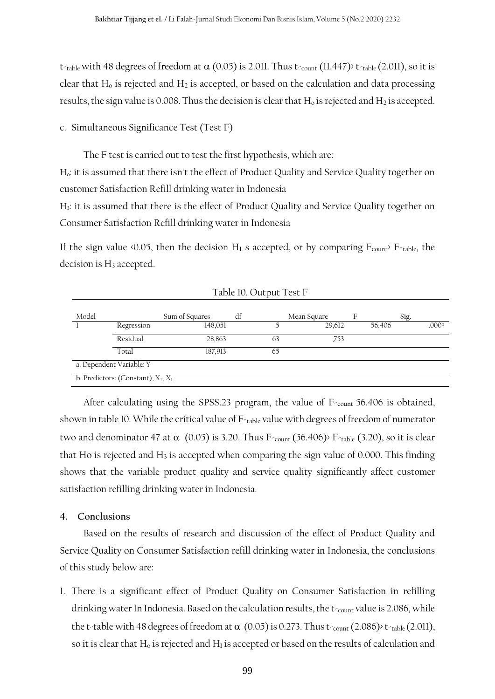t-table with 48 degrees of freedom at  $\alpha$  (0.05) is 2.011. Thus t-count (11.447)> t-table (2.011), so it is clear that  $H_0$  is rejected and  $H_2$  is accepted, or based on the calculation and data processing results, the sign value is 0.008. Thus the decision is clear that  $H_0$  is rejected and  $H_2$  is accepted.

c. Simultaneous Significance Test (Test F)

The F test is carried out to test the first hypothesis, which are:

Ho: it is assumed that there isn't the effect of Product Quality and Service Quality together on customer Satisfaction Refill drinking water in Indonesia

H3: it is assumed that there is the effect of Product Quality and Service Quality together on Consumer Satisfaction Refill drinking water in Indonesia

If the sign value  $\triangle 0.05$ , then the decision H<sub>1</sub> s accepted, or by comparing  $F_{\text{count}}$  F<sub> $\triangle$ table, the</sub> decision is H<sub>3</sub> accepted.

| Model |                          | Sum of Squares | df                                    |    | Mean Square | F |        | Sig. |                   |
|-------|--------------------------|----------------|---------------------------------------|----|-------------|---|--------|------|-------------------|
|       | Regression               | 148,051        |                                       |    | 29,612      |   | 56,406 |      | .000 <sup>b</sup> |
|       | Residual                 | 28,863         |                                       | 63 | ,753        |   |        |      |                   |
|       | Total                    | 187,913        |                                       | 65 |             |   |        |      |                   |
|       | a. Dependent Variable: Y |                |                                       |    |             |   |        |      |                   |
|       |                          |                | b. Predictors: (Constant), $X_2, X_1$ |    |             |   |        |      |                   |

Table 10. Output Test F

After calculating using the SPSS.23 program, the value of  $F_{\text{count}}$  56.406 is obtained, shown in table 10. While the critical value of F-table value with degrees of freedom of numerator two and denominator 47 at  $\alpha$  (0.05) is 3.20. Thus F-count (56.406) F-table (3.20), so it is clear that Ho is rejected and  $H_3$  is accepted when comparing the sign value of 0.000. This finding shows that the variable product quality and service quality significantly affect customer satisfaction refilling drinking water in Indonesia.

### **4. Conclusions**

Based on the results of research and discussion of the effect of Product Quality and Service Quality on Consumer Satisfaction refill drinking water in Indonesia, the conclusions of this study below are:

1. There is a significant effect of Product Quality on Consumer Satisfaction in refilling drinking water In Indonesia. Based on the calculation results, the  $t_{\text{count}}$  value is 2.086, while the t-table with 48 degrees of freedom at  $\alpha$  (0.05) is 0.273. Thus t-count (2.086)> t-table (2.011), so it is clear that  $H_0$  is rejected and  $H_1$  is accepted or based on the results of calculation and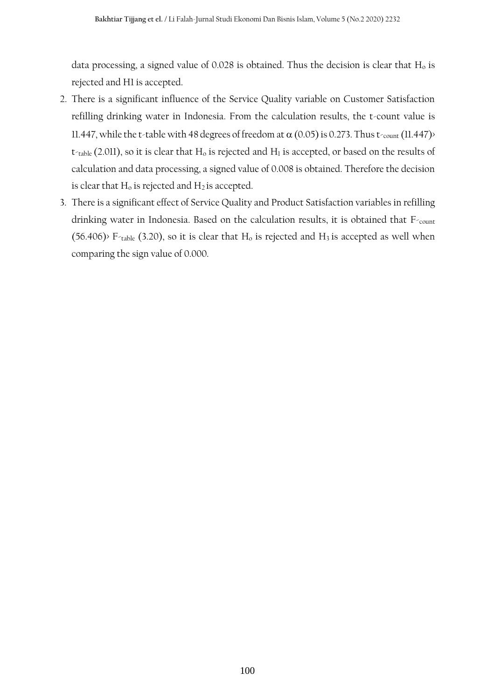data processing, a signed value of  $0.028$  is obtained. Thus the decision is clear that  $H_0$  is rejected and H1 is accepted.

- 2. There is a significant influence of the Service Quality variable on Customer Satisfaction refilling drinking water in Indonesia. From the calculation results, the t-count value is 11.447, while the t-table with 48 degrees of freedom at  $\alpha$  (0.05) is 0.273. Thus t-count (11.447)>  $t<sub>table</sub>$  (2.011), so it is clear that  $H<sub>o</sub>$  is rejected and  $H<sub>1</sub>$  is accepted, or based on the results of calculation and data processing, a signed value of 0.008 is obtained. Therefore the decision is clear that  $H_0$  is rejected and  $H_2$  is accepted.
- 3. There is a significant effect of Service Quality and Product Satisfaction variables in refilling drinking water in Indonesia. Based on the calculation results, it is obtained that F-count (56.406)> F-table (3.20), so it is clear that  $H_0$  is rejected and  $H_3$  is accepted as well when comparing the sign value of 0.000.